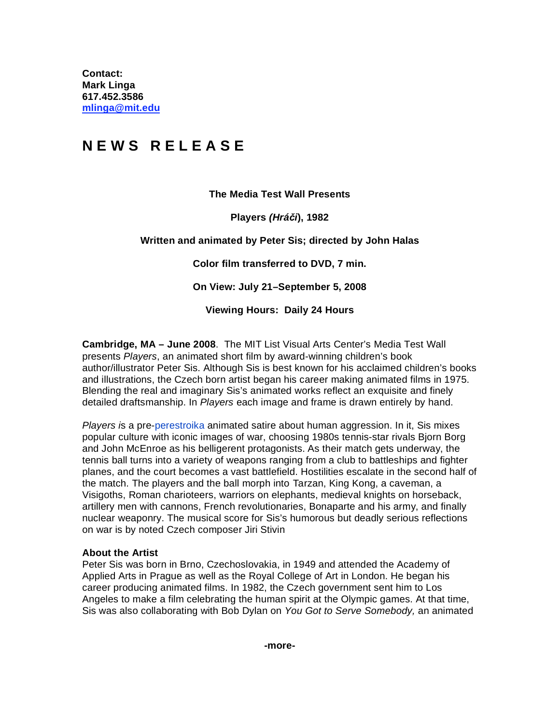**Contact: Mark Linga [617.452.3586](tel:6174523586)  [mlinga@mit.edu](mailto:mlinga@mit.edu)**

## **N E W S R E L E A S E**

## **The Media Test Wall Presents**

**Players** *(Hrái***), 1982**  Players (hr£
i), 1982

## **Written and animated by Peter Sis; directed by John Halas**

**Color film transferred to DVD, 7 min.**

**On View: July 21–September 5, 2008**

**Viewing Hours: Daily 24 Hours** 

**Cambridge, MA – June 2008**. The MIT List Visual Arts Center's Media Test Wall presents *Players*, an animated short film by award-winning children's book author/illustrator Peter Sis. Although Sis is best known for his acclaimed children's books and illustrations, the Czech born artist began his career making animated films in 1975. Blending the real and imaginary Sis's animated works reflect an exquisite and finely detailed draftsmanship. In *Players* each image and frame is drawn entirely by hand.

*Players i*s a pre-[perestroika](https://www.britannica.com/topic/perestroika-Soviet-government-policy) animated satire about human aggression. In it, Sis mixes popular culture with iconic images of war, choosing 1980s tennis-star rivals Bjorn Borg and John McEnroe as his belligerent protagonists. As their match gets underway, the tennis ball turns into a variety of weapons ranging from a club to battleships and fighter planes, and the court becomes a vast battlefield. Hostilities escalate in the second half of the match. The players and the ball morph into Tarzan, King Kong, a caveman, a Visigoths, Roman charioteers, warriors on elephants, medieval knights on horseback, artillery men with cannons, French revolutionaries, Bonaparte and his army, and finally nuclear weaponry. The musical score for Sis's humorous but deadly serious reflections on war is by noted Czech composer Jiri Stivin

## **About the Artist**

Peter Sis was born in Brno, Czechoslovakia, in 1949 and attended the Academy of Applied Arts in Prague as well as the Royal College of Art in London. He began his career producing animated films. In 1982, the Czech government sent him to Los Angeles to make a film celebrating the human spirit at the Olympic games. At that time, Sis was also collaborating with Bob Dylan on *You Got to Serve Somebody,* an animated